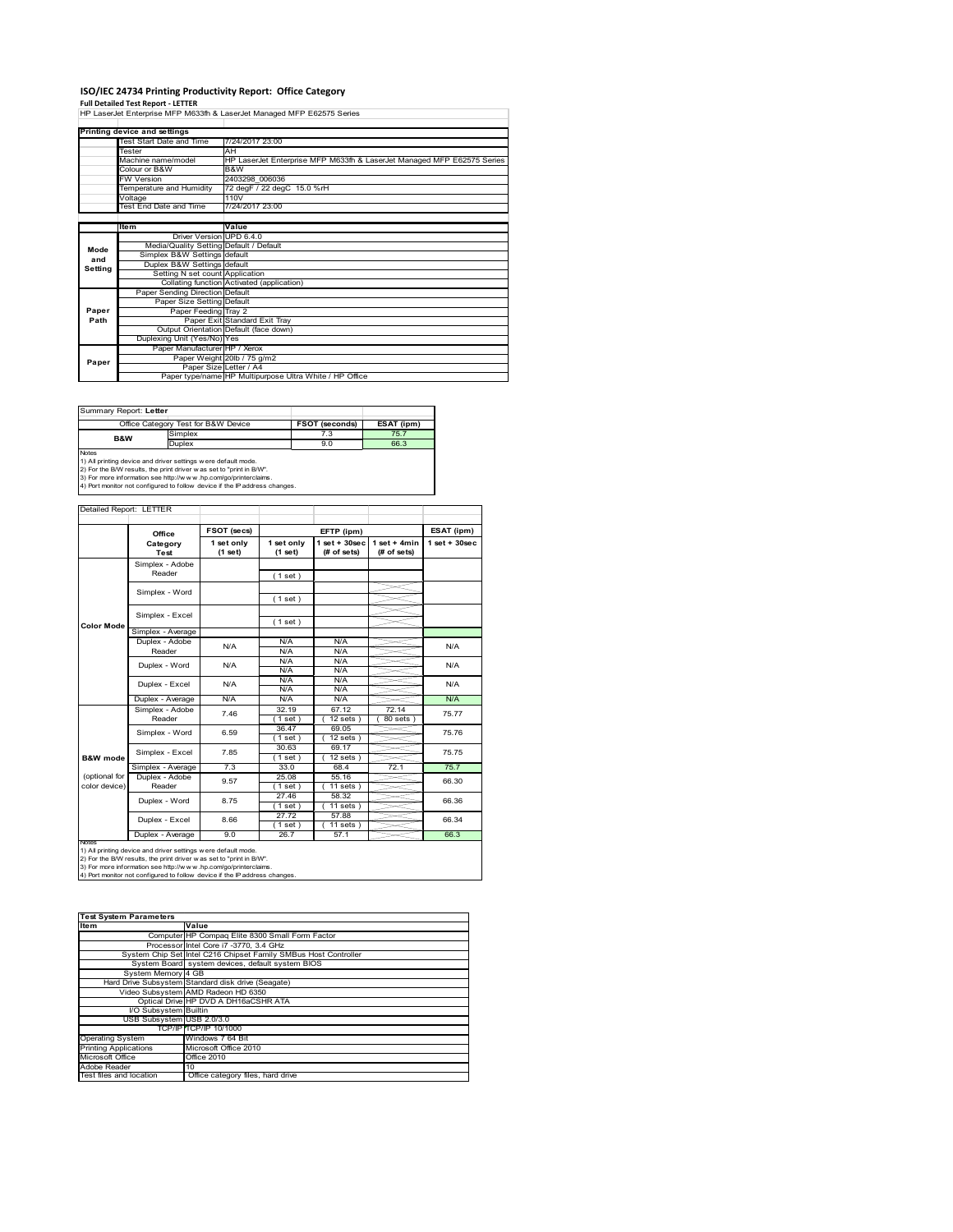# **ISO/IEC 24734 Printing Productivity Report: Office Category<br>Full Detailed Test Report - LETTER<br>HP LaserJet Enterprise MFP M633fh & LaserJet Managed MFP E62575 Series**

|         | Printing device and settings            |                                                                        |
|---------|-----------------------------------------|------------------------------------------------------------------------|
|         | Test Start Date and Time                | 7/24/2017 23:00                                                        |
|         | Tester                                  | AH                                                                     |
|         | Machine name/model                      | HP LaserJet Enterprise MFP M633fh & LaserJet Managed MFP E62575 Series |
|         | Colour or B&W                           | B&W                                                                    |
|         | <b>FW Version</b>                       | 2403298 006036                                                         |
|         | Temperature and Humidity                | 72 degF / 22 degC 15.0 %rH                                             |
|         | Voltage                                 | 110V                                                                   |
|         | Test End Date and Time                  | 7/24/2017 23:00                                                        |
|         |                                         |                                                                        |
|         | ltem                                    | Value                                                                  |
|         | Driver Version UPD 6.4.0                |                                                                        |
| Mode    | Media/Quality Setting Default / Default |                                                                        |
| and     | Simplex B&W Settings default            |                                                                        |
| Setting | Duplex B&W Settings default             |                                                                        |
|         | Setting N set count Application         |                                                                        |
|         |                                         | Collating function Activated (application)                             |
|         | Paper Sending Direction Default         |                                                                        |
|         | Paper Size Setting Default              |                                                                        |
| Paper   | Paper Feeding Tray 2                    |                                                                        |
| Path    |                                         | Paper Exit Standard Exit Tray                                          |
|         |                                         | Output Orientation Default (face down)                                 |
|         | Duplexing Unit (Yes/No) Yes             |                                                                        |
|         | Paper Manufacturer HP / Xerox           |                                                                        |
| Paper   |                                         | Paper Weight 20lb / 75 g/m2                                            |
|         | Paper Size Letter / A4                  |                                                                        |
|         |                                         | Paper type/name HP Multipurpose Ultra White / HP Office                |

Summary Report: **Letter**

| ------------                                                 |                                     |                       |            |  |  |  |  |
|--------------------------------------------------------------|-------------------------------------|-----------------------|------------|--|--|--|--|
|                                                              | Office Category Test for B&W Device | <b>FSOT (seconds)</b> | ESAT (ipm) |  |  |  |  |
| <b>B&amp;W</b>                                               | Simplex                             | 7.3                   | 75.7       |  |  |  |  |
|                                                              | Duplex                              | 9.0                   | 66.3       |  |  |  |  |
| 1) All printing device and driver settings were default mode |                                     |                       |            |  |  |  |  |
| <b>Notes</b>                                                 |                                     |                       |            |  |  |  |  |

1) All printing device and driver settings were default mode.<br>2) For the B/W results, the print driver was set to "print in B/W".<br>3) For more information see http://www.hp.com/go/printerclaims.<br>4) Port monitor not configur

#### Detailed Report: LETTER

|                                | Office                    | FSOT (secs)           |                       | EFTP (ipm)                         |                               | ESAT (ipm)         |
|--------------------------------|---------------------------|-----------------------|-----------------------|------------------------------------|-------------------------------|--------------------|
|                                | Category<br>Test          | 1 set only<br>(1 set) | 1 set only<br>(1 set) | $1$ set + $30$ sec<br>$#$ of sets) | $1$ set + 4min<br>(# of sets) | $1$ set + $30$ sec |
|                                | Simplex - Adobe<br>Reader |                       | (1 set)               |                                    |                               |                    |
|                                | Simplex - Word            |                       | (1 set)               |                                    |                               |                    |
| <b>Color Mode</b>              | Simplex - Excel           |                       | (1 set)               |                                    |                               |                    |
|                                | Simplex - Average         |                       |                       |                                    |                               |                    |
|                                | Duplex - Adobe<br>Reader  | N/A                   | N/A<br>N/A            | N/A<br>N/A                         |                               | N/A                |
|                                | Duplex - Word             | N/A                   | N/A<br>N/A            | N/A<br>N/A                         |                               | N/A                |
|                                | Duplex - Excel            | N/A                   | N/A<br>N/A            | N/A<br>N/A                         |                               | N/A                |
|                                | Duplex - Average          | N/A                   | N/A                   | N/A                                |                               | N/A                |
|                                | Simplex - Adobe<br>Reader | 7.46                  | 32.19<br>1 set)       | 67.12<br>$12$ sets $)$             | 72.14<br>80 sets )            | 75.77              |
|                                | Simplex - Word            | 6.59                  | 36.47<br>1 set)       | 69.05<br>$12$ sets $)$             |                               | 75.76              |
| <b>B&amp;W</b> mode            | Simplex - Excel           | 7.85                  | 30.63<br>(1 set)      | 69.17<br>$12$ sets $)$             |                               | 75.75              |
|                                | Simplex - Average         | 7.3                   | 33.0                  | 68.4                               | 72.1                          | 75.7               |
| (optional for<br>color device) | Duplex - Adobe<br>Reader  | 9.57                  | 25.08<br>$1$ set $)$  | 55.16<br>$11 sets$ )               |                               | 66.30              |
|                                | Duplex - Word             | 8.75                  | 27.46<br>$1$ set)     | 58.32<br>$11 sets$ )               |                               | 66.36              |
|                                | Duplex - Excel            | 8.66                  | 27.72<br>$1$ set)     | 57.88<br>$11$ sets)                |                               | 66.34              |
|                                | Duplex - Average          | 9.0                   | 26.7                  | 57.1                               |                               | 66.3               |

Ī

Notes<br>1) All printing device and driver settings were default mode.<br>2) For the B/W results, the print driver was set to "print in B/W".<br>3) For more information see http://www.hp.com/go/printerclaims.<br>4) Por more informati

| 4) Port monitor not configured to follow device if the IP address changes. |                                                                 |  |  |  |  |
|----------------------------------------------------------------------------|-----------------------------------------------------------------|--|--|--|--|
|                                                                            |                                                                 |  |  |  |  |
|                                                                            |                                                                 |  |  |  |  |
| <b>Test System Parameters</b>                                              |                                                                 |  |  |  |  |
| <b>Item</b>                                                                | Value                                                           |  |  |  |  |
|                                                                            | Computer HP Compaq Elite 8300 Small Form Factor                 |  |  |  |  |
|                                                                            | Processor Intel Core i7 -3770, 3.4 GHz                          |  |  |  |  |
|                                                                            | System Chip Set Intel C216 Chipset Family SMBus Host Controller |  |  |  |  |
|                                                                            | System Board system devices, default system BIOS                |  |  |  |  |
| System Memory 4 GB                                                         |                                                                 |  |  |  |  |
|                                                                            | Hard Drive Subsystem Standard disk drive (Seagate)              |  |  |  |  |
|                                                                            | Video Subsystem AMD Radeon HD 6350                              |  |  |  |  |
|                                                                            | Optical Drive HP DVD A DH16aCSHR ATA                            |  |  |  |  |
| I/O Subsystem Builtin                                                      |                                                                 |  |  |  |  |
| USB Subsystem USB 2.0/3.0                                                  |                                                                 |  |  |  |  |
|                                                                            | TCP/IP TCP/IP 10/1000                                           |  |  |  |  |
| <b>Operating System</b>                                                    | Windows 7 64 Bit                                                |  |  |  |  |
| <b>Printing Applications</b>                                               | Microsoft Office 2010                                           |  |  |  |  |
| Microsoft Office                                                           | <b>Office 2010</b>                                              |  |  |  |  |
| Adobe Reader                                                               | 10                                                              |  |  |  |  |

To<br>Thest files, hard drive<br>Office category files, hard drive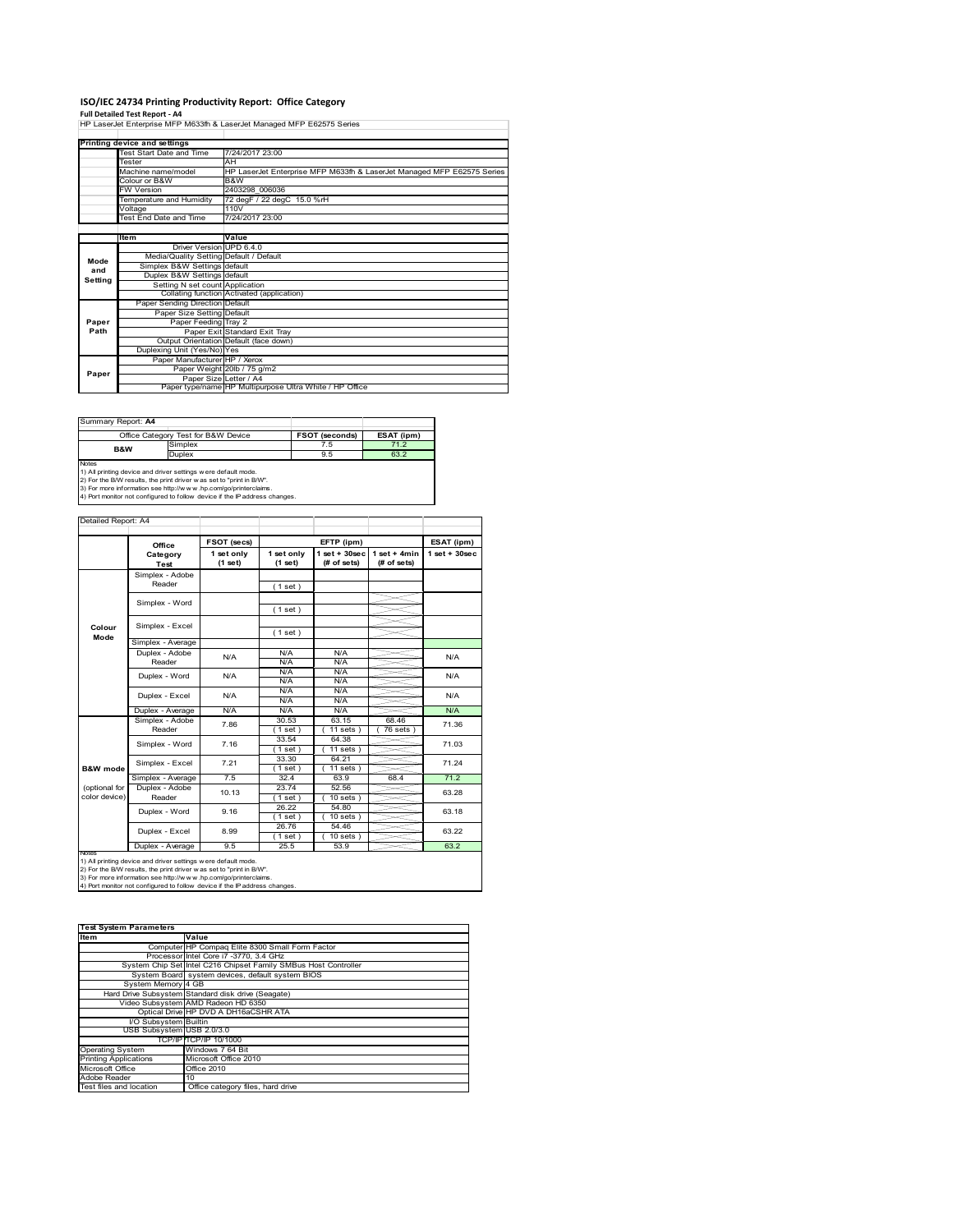# **ISO/IEC 24734 Printing Productivity Report: Office Category**

**Full Detailed Test Report ‐ A4** HP LaserJet Enterprise MFP M633fh & LaserJet Managed MFP E62575 Series

|         | Printing device and settings            |                                                                        |
|---------|-----------------------------------------|------------------------------------------------------------------------|
|         | Test Start Date and Time                | 7/24/2017 23:00                                                        |
|         | Tester                                  | AH                                                                     |
|         | Machine name/model                      | HP LaserJet Enterprise MFP M633fh & LaserJet Managed MFP E62575 Series |
|         | Colour or B&W                           | B&W                                                                    |
|         | <b>FW Version</b>                       | 2403298 006036                                                         |
|         | Temperature and Humidity                | 72 degF / 22 degC 15.0 %rH                                             |
|         | Voltage                                 | 110V                                                                   |
|         | Test End Date and Time                  | 7/24/2017 23:00                                                        |
|         |                                         |                                                                        |
|         | <b>Item</b>                             | Value                                                                  |
|         | Driver Version UPD 6.4.0                |                                                                        |
| Mode    | Media/Quality Setting Default / Default |                                                                        |
| and     | Simplex B&W Settings default            |                                                                        |
| Setting | Duplex B&W Settings default             |                                                                        |
|         | Setting N set count Application         |                                                                        |
|         |                                         | Collating function Activated (application)                             |
|         | Paper Sending Direction Default         |                                                                        |
|         | Paper Size Setting Default              |                                                                        |
| Paper   | Paper Feeding Tray 2                    |                                                                        |
| Path    |                                         | Paper Exit Standard Exit Tray                                          |
|         |                                         | Output Orientation Default (face down)                                 |
|         | Duplexing Unit (Yes/No) Yes             |                                                                        |
|         | Paper Manufacturer HP / Xerox           |                                                                        |
| Paper   |                                         | Paper Weight 20lb / 75 g/m2                                            |
|         |                                         | Paper Size Letter / A4                                                 |
|         |                                         | Paper type/name HP Multipurpose Ultra White / HP Office                |

| Summary Report: A4                                                                                                                                                                                                                                                                                              |                                     |                |            |  |  |  |  |
|-----------------------------------------------------------------------------------------------------------------------------------------------------------------------------------------------------------------------------------------------------------------------------------------------------------------|-------------------------------------|----------------|------------|--|--|--|--|
|                                                                                                                                                                                                                                                                                                                 | Office Category Test for B&W Device | FSOT (seconds) | ESAT (ipm) |  |  |  |  |
| <b>B&amp;W</b>                                                                                                                                                                                                                                                                                                  | Simplex                             | 7.5            | 71.2       |  |  |  |  |
|                                                                                                                                                                                                                                                                                                                 | <b>Duplex</b>                       | 9.5            | 63.2       |  |  |  |  |
| <b>Notes</b><br>1) All printing device and driver settings were default mode.<br>the second contract of the contract of the contract of the contract of the contract of the contract of the contract of the contract of the contract of the contract of the contract of the contract of the contract of the con |                                     |                |            |  |  |  |  |

1) All printing device and driver settings were default mode.<br>2) For the B/W results, the print driver was set to "print in B/W".<br>3) For more information see http://www.hp.com/go/printerclaims.<br>4) Port monitor not configur

| Detailed Report: A4            |                           |                       |                       |                                  |                               |                    |
|--------------------------------|---------------------------|-----------------------|-----------------------|----------------------------------|-------------------------------|--------------------|
|                                | Office                    | FSOT (secs)           |                       | EFTP (ipm)                       |                               | ESAT (ipm)         |
|                                | Category<br><b>Test</b>   | 1 set only<br>(1 set) | 1 set only<br>(1 set) | $1$ set $+30$ sec<br>(# of sets) | $1$ set + 4min<br>(# of sets) | $1$ set + $30$ sec |
|                                | Simplex - Adobe<br>Reader |                       | (1 set)               |                                  |                               |                    |
|                                | Simplex - Word            |                       |                       |                                  |                               |                    |
| Colour                         | Simplex - Excel           |                       | (1 set)               |                                  |                               |                    |
| Mode                           | Simplex - Average         |                       | (1 set)               |                                  |                               |                    |
|                                | Duplex - Adobe<br>Reader  | N/A                   | N/A<br>N/A            | N/A<br>N/A                       |                               | N/A                |
|                                | Duplex - Word             | N/A                   | N/A<br>N/A            | N/A<br>N/A                       |                               | N/A                |
|                                | Duplex - Excel            | N/A                   | N/A<br>N/A            | N/A<br>N/A                       |                               | N/A                |
|                                | Duplex - Average          | N/A                   | N/A                   | N/A                              |                               | N/A                |
|                                | Simplex - Adobe<br>Reader | 7.86                  | 30.53<br>(1 set)      | 63.15<br>$11$ sets $)$           | 68.46<br>$76$ sets $)$        | 71.36              |
|                                | Simplex - Word            | 7.16                  | 33.54<br>$1$ set $)$  | 64.38<br>$11$ sets $)$           |                               | 71.03              |
| <b>B&amp;W</b> mode            | Simplex - Excel           | 7.21                  | 33.30<br>$1$ set)     | 64.21<br>$11 sets$ )             |                               | 71.24              |
|                                | Simplex - Average         | 7.5                   | 32.4                  | 63.9                             | 68.4                          | 71.2               |
| (optional for<br>color device) | Duplex - Adobe<br>Reader  | 10.13                 | 23.74<br>(1 set)      | 52.56<br>$10 sets$ )             |                               | 63.28              |
|                                | Duplex - Word             | 9.16                  | 26.22<br>$1$ set)     | 54.80<br>$10 sets$ )             |                               | 63.18              |
|                                | Duplex - Excel            | 8.99                  | 26.76<br>$1$ set)     | 54.46<br>$10$ sets $)$           |                               | 63.22              |
|                                | Duplex - Average          | 9.5                   | 25.5                  | 53.9                             |                               | 63.2               |

notrest<br>1) All printing device and driver settings were default mode.<br>2) For the B/W results, the print driver was set to "print in B/W".<br>3) For more information see http://www.hp.com/go/printerclaims.<br>4) Por more informat

| <b>Test System Parameters</b> |                                                                 |  |  |  |
|-------------------------------|-----------------------------------------------------------------|--|--|--|
| <b>Item</b>                   | Value                                                           |  |  |  |
|                               | Computer HP Compaq Elite 8300 Small Form Factor                 |  |  |  |
|                               | Processor Intel Core i7 -3770, 3.4 GHz                          |  |  |  |
|                               | System Chip Set Intel C216 Chipset Family SMBus Host Controller |  |  |  |
|                               | System Board system devices, default system BIOS                |  |  |  |
| System Memory 4 GB            |                                                                 |  |  |  |
|                               | Hard Drive Subsystem Standard disk drive (Seagate)              |  |  |  |
|                               | Video Subsystem AMD Radeon HD 6350                              |  |  |  |
|                               | Optical Drive HP DVD A DH16aCSHR ATA                            |  |  |  |
| I/O Subsystem Builtin         |                                                                 |  |  |  |
| USB Subsystem USB 2.0/3.0     |                                                                 |  |  |  |
|                               | TCP/IP TCP/IP 10/1000                                           |  |  |  |
| <b>Operating System</b>       | Windows 7 64 Bit                                                |  |  |  |
| <b>Printing Applications</b>  | Microsoft Office 2010                                           |  |  |  |
| Microsoft Office              | <b>Office 2010</b>                                              |  |  |  |
| Adobe Reader                  | 10                                                              |  |  |  |
| Test files and location       | Office category files, hard drive                               |  |  |  |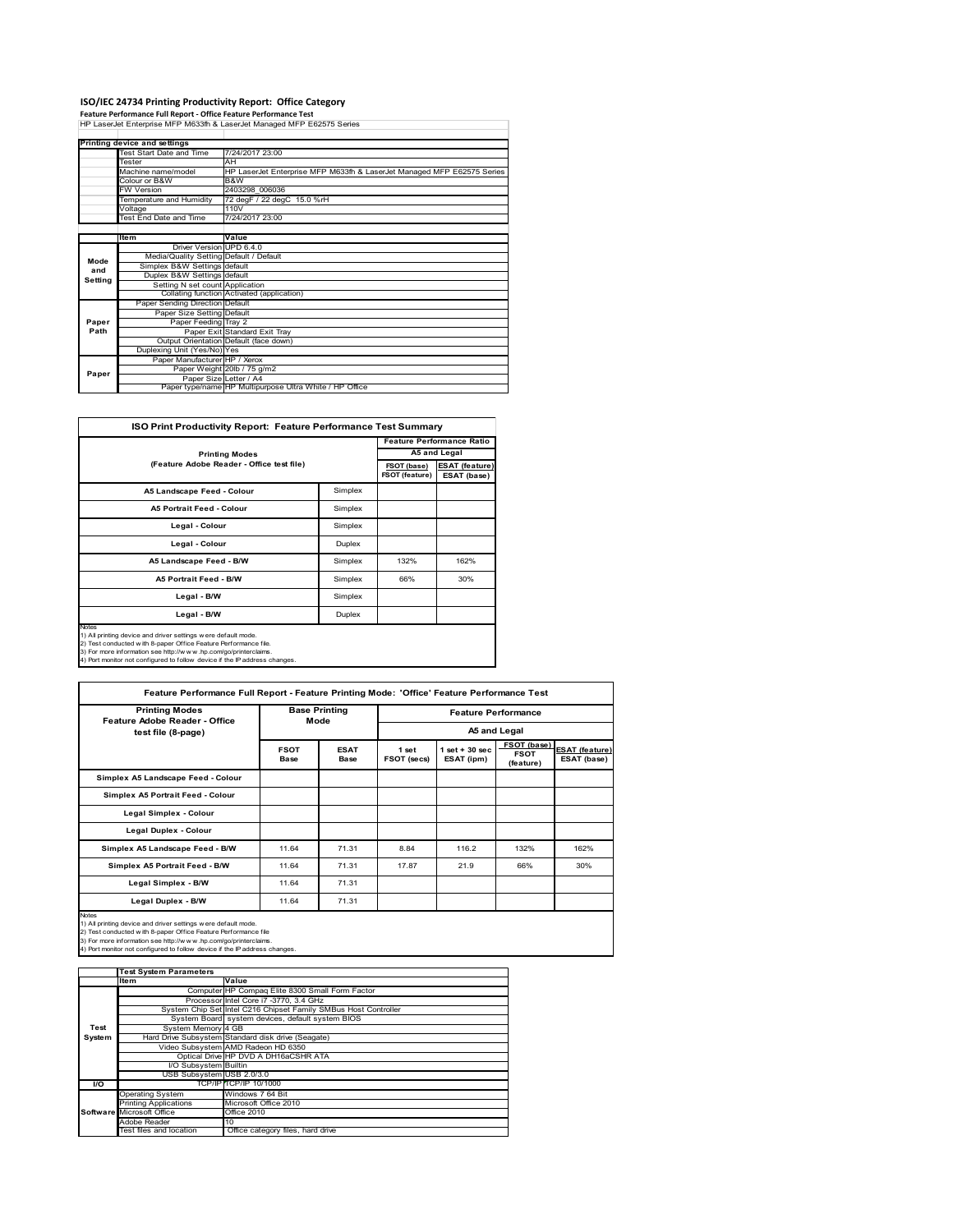**ISO/IEC 24734 Printing Productivity Report: Office Category Feature Performance Full Report ‐ Office Feature Performance Test** HP LaserJet Enterprise MFP M633fh & LaserJet Managed MFP E62575 Series

|         | Printing device and settings            |                                                                        |
|---------|-----------------------------------------|------------------------------------------------------------------------|
|         | Test Start Date and Time                | 7/24/2017 23:00                                                        |
|         | Tester                                  | AH                                                                     |
|         | Machine name/model                      | HP LaserJet Enterprise MFP M633fh & LaserJet Managed MFP E62575 Series |
|         | Colour or B&W                           | B&W                                                                    |
|         | <b>FW Version</b>                       | 2403298 006036                                                         |
|         | Temperature and Humidity                | 72 degF / 22 degC 15.0 %rH                                             |
|         | Voltage                                 | 110V                                                                   |
|         | Test End Date and Time                  | 7/24/2017 23:00                                                        |
|         |                                         |                                                                        |
|         | ltem                                    | Value                                                                  |
|         | Driver Version UPD 6.4.0                |                                                                        |
| Mode    | Media/Quality Setting Default / Default |                                                                        |
| and     | Simplex B&W Settings default            |                                                                        |
| Setting | Duplex B&W Settings default             |                                                                        |
|         | Setting N set count Application         |                                                                        |
|         |                                         | Collating function Activated (application)                             |
|         | Paper Sending Direction Default         |                                                                        |
|         | Paper Size Setting Default              |                                                                        |
| Paper   | Paper Feeding Tray 2                    |                                                                        |
| Path    |                                         | Paper Exit Standard Exit Tray                                          |
|         |                                         | Output Orientation Default (face down)                                 |
|         | Duplexing Unit (Yes/No) Yes             |                                                                        |
|         | Paper Manufacturer HP / Xerox           |                                                                        |
| Paper   |                                         | Paper Weight 20lb / 75 g/m2                                            |
|         |                                         | Paper Size Letter / A4                                                 |
|         |                                         | Paper type/name HP Multipurpose Ultra White / HP Office                |

| <b>ISO Print Productivity Report: Feature Performance Test Summary</b>                                                                                                                                                                                                                     |                                           |      |              |  |  |  |
|--------------------------------------------------------------------------------------------------------------------------------------------------------------------------------------------------------------------------------------------------------------------------------------------|-------------------------------------------|------|--------------|--|--|--|
|                                                                                                                                                                                                                                                                                            | <b>Feature Performance Ratio</b>          |      |              |  |  |  |
| <b>Printing Modes</b>                                                                                                                                                                                                                                                                      |                                           |      | A5 and Legal |  |  |  |
|                                                                                                                                                                                                                                                                                            | (Feature Adobe Reader - Office test file) |      |              |  |  |  |
| A5 Landscape Feed - Colour                                                                                                                                                                                                                                                                 | Simplex                                   |      |              |  |  |  |
| <b>A5 Portrait Feed - Colour</b>                                                                                                                                                                                                                                                           | Simplex                                   |      |              |  |  |  |
| Legal - Colour                                                                                                                                                                                                                                                                             | Simplex                                   |      |              |  |  |  |
| Legal - Colour                                                                                                                                                                                                                                                                             | Duplex                                    |      |              |  |  |  |
| A5 Landscape Feed - B/W                                                                                                                                                                                                                                                                    | Simplex                                   | 132% | 162%         |  |  |  |
| <b>A5 Portrait Feed - B/W</b>                                                                                                                                                                                                                                                              | Simplex                                   | 66%  | 30%          |  |  |  |
| Legal - B/W                                                                                                                                                                                                                                                                                | Simplex                                   |      |              |  |  |  |
| Legal - B/W                                                                                                                                                                                                                                                                                | Duplex                                    |      |              |  |  |  |
| Notes<br>1) All printing device and driver settings were default mode.<br>2) Test conducted with 8-paper Office Feature Performance file.<br>3) For more information see http://www.hp.com/go/printerclaims.<br>4) Port monitor not configured to follow device if the IP address changes. |                                           |      |              |  |  |  |

| <b>Printing Modes</b><br><b>Feature Adobe Reader - Office</b> |                            | <b>Base Printing</b><br>Mode |                      | <b>Feature Performance</b><br>A5 and Legal |                                         |                                      |  |
|---------------------------------------------------------------|----------------------------|------------------------------|----------------------|--------------------------------------------|-----------------------------------------|--------------------------------------|--|
| test file (8-page)                                            |                            |                              |                      |                                            |                                         |                                      |  |
|                                                               | <b>FSOT</b><br><b>Base</b> | <b>ESAT</b><br>Base          | 1 set<br>FSOT (secs) | $1$ set $+30$ sec<br>ESAT (ipm)            | FSOT (base)<br><b>FSOT</b><br>(feature) | <b>ESAT (feature)</b><br>ESAT (base) |  |
| Simplex A5 Landscape Feed - Colour                            |                            |                              |                      |                                            |                                         |                                      |  |
| Simplex A5 Portrait Feed - Colour                             |                            |                              |                      |                                            |                                         |                                      |  |
| Legal Simplex - Colour                                        |                            |                              |                      |                                            |                                         |                                      |  |
| Legal Duplex - Colour                                         |                            |                              |                      |                                            |                                         |                                      |  |
| Simplex A5 Landscape Feed - B/W                               | 11.64                      | 71.31                        | 8.84                 | 116.2                                      | 132%                                    | 162%                                 |  |
| Simplex A5 Portrait Feed - B/W                                | 11.64                      | 71.31                        | 17.87                | 21.9                                       | 66%                                     | 30%                                  |  |
| Legal Simplex - B/W                                           | 11.64                      | 71.31                        |                      |                                            |                                         |                                      |  |
| Legal Duplex - B/W                                            | 11.64                      | 71.31                        |                      |                                            |                                         |                                      |  |

3) For more information see http://w w w .hp.com/go/printerclaims. 4) Port monitor not configured to follow device if the IP address changes.

|           | <b>Test System Parameters</b> |                                                                 |  |  |  |
|-----------|-------------------------------|-----------------------------------------------------------------|--|--|--|
|           | Value<br><b>Item</b>          |                                                                 |  |  |  |
|           |                               | Computer HP Compaq Elite 8300 Small Form Factor                 |  |  |  |
|           |                               | Processor Intel Core i7 -3770, 3.4 GHz                          |  |  |  |
|           |                               | System Chip Set Intel C216 Chipset Family SMBus Host Controller |  |  |  |
|           |                               | System Board system devices, default system BIOS                |  |  |  |
| Test      | System Memory 4 GB            |                                                                 |  |  |  |
| System    |                               | Hard Drive Subsystem Standard disk drive (Seagate)              |  |  |  |
|           |                               | Video Subsystem AMD Radeon HD 6350                              |  |  |  |
|           |                               | Optical Drive HP DVD A DH16aCSHR ATA                            |  |  |  |
|           | I/O Subsystem Builtin         |                                                                 |  |  |  |
|           | USB Subsystem USB 2.0/3.0     |                                                                 |  |  |  |
| <b>VO</b> |                               | TCP/IP TCP/IP 10/1000                                           |  |  |  |
|           | <b>Operating System</b>       | Windows 7 64 Bit                                                |  |  |  |
|           | <b>Printing Applications</b>  | Microsoft Office 2010                                           |  |  |  |
|           | Software Microsoft Office     | <b>Office 2010</b>                                              |  |  |  |
|           | Adobe Reader                  | 10                                                              |  |  |  |
|           | Test files and location       | Office category files, hard drive                               |  |  |  |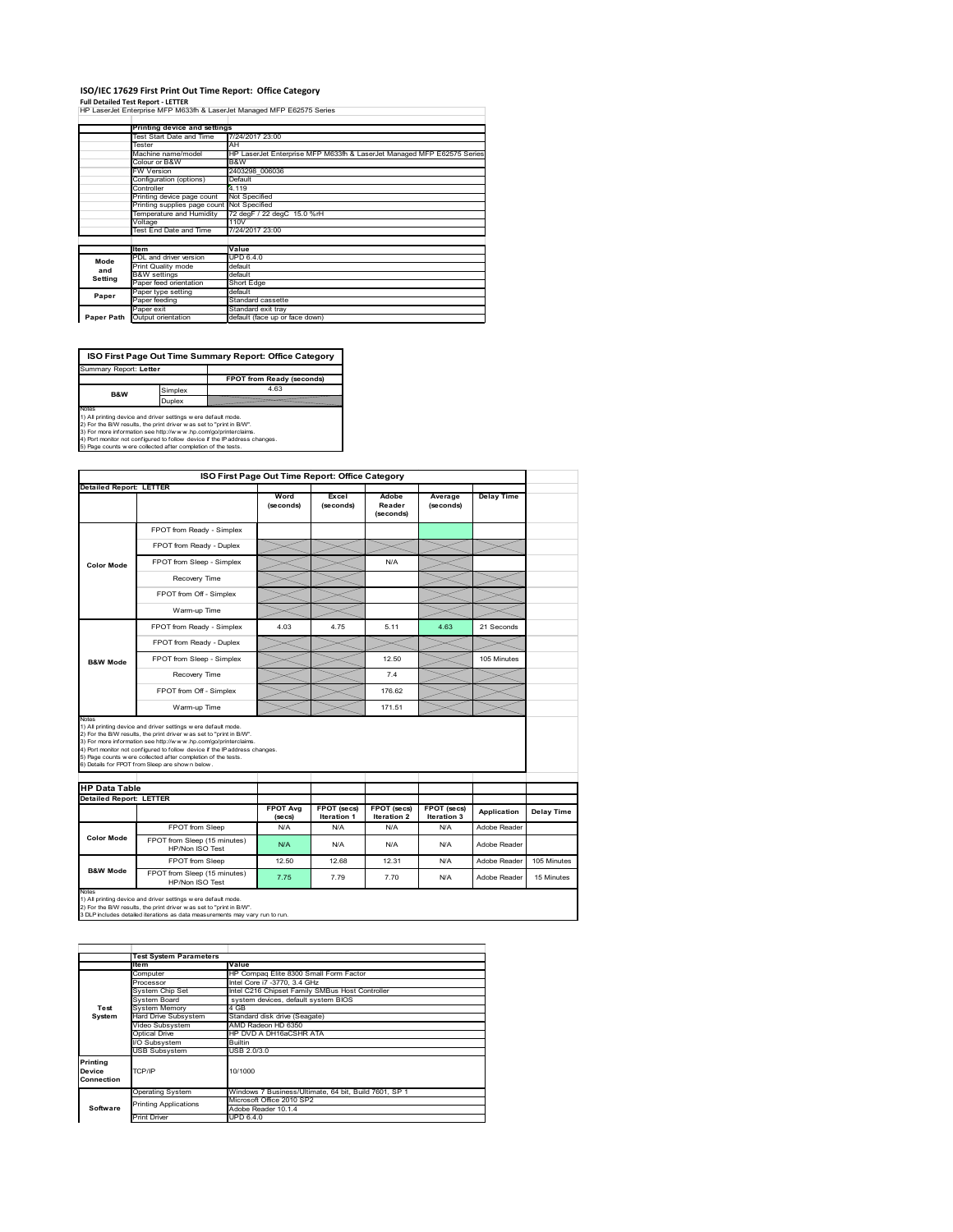#### **ISO/IEC 17629 First Print Out Time Report: Office Category**

**Full Detailed Test Report ‐ LETTER** HP LaserJet Enterprise MFP M633fh & LaserJet Managed MFP E62575 Series

|            | Printing device and settings               |                                                                        |
|------------|--------------------------------------------|------------------------------------------------------------------------|
|            | Test Start Date and Time                   | 7/24/2017 23:00                                                        |
|            | Tester                                     | AH                                                                     |
|            | Machine name/model                         | HP LaserJet Enterprise MFP M633fh & LaserJet Managed MFP E62575 Series |
|            | Colour or B&W                              | B&W                                                                    |
|            | FW Version                                 | 2403298 006036                                                         |
|            | Configuration (options)                    | Default                                                                |
|            | Controller                                 | 4.119                                                                  |
|            | Printing device page count                 | Not Specified                                                          |
|            | Printing supplies page count Not Specified |                                                                        |
|            | Temperature and Humidity                   | 72 degF / 22 degC 15.0 %rH                                             |
|            | Voltage                                    | 110V                                                                   |
|            | Test End Date and Time                     | 7/24/2017 23:00                                                        |
|            |                                            |                                                                        |
|            | <b>Item</b>                                | Value                                                                  |
| Mode       | PDL and driver version                     | UPD 6.4.0                                                              |
| and        | Print Quality mode                         | default                                                                |
| Setting    | <b>B&amp;W</b> settings                    | default                                                                |
|            | Paper feed orientation                     | Short Edge                                                             |
| Paper      | Paper type setting                         | default                                                                |
|            | Paper feeding                              | Standard cassette                                                      |
|            | Paper exit                                 | Standard exit tray                                                     |
| Paper Path | Output orientation                         | default (face up or face down)                                         |
|            |                                            |                                                                        |

**FPOT from Ready (seconds)**<br>
Simplex 4.63 **ISO First Page Out Time Summary Report: Office Category** t: Letter

**B&W**

**Duplex**<br>Notes<br>1) All printing device and driver settings were default mode.<br>2) For the BM results, the print driver was set to "print in BM".<br>4) For more information see http://www.hp.com/golprinterclaims.<br>4) Port monitor

|                                |                                                                                                                                                                                                                                                                                                                                                                                                              | ISO First Page Out Time Report: Office Category |                                   |                                   |                            |                   |                   |
|--------------------------------|--------------------------------------------------------------------------------------------------------------------------------------------------------------------------------------------------------------------------------------------------------------------------------------------------------------------------------------------------------------------------------------------------------------|-------------------------------------------------|-----------------------------------|-----------------------------------|----------------------------|-------------------|-------------------|
| <b>Detailed Report: LETTER</b> |                                                                                                                                                                                                                                                                                                                                                                                                              | Word<br>(seconds)                               | Excel<br>(seconds)                | Adobe<br>Reader<br>(seconds)      | Average<br>(seconds)       | <b>Delay Time</b> |                   |
|                                | FPOT from Ready - Simplex                                                                                                                                                                                                                                                                                                                                                                                    |                                                 |                                   |                                   |                            |                   |                   |
|                                | FPOT from Ready - Duplex                                                                                                                                                                                                                                                                                                                                                                                     |                                                 |                                   |                                   |                            |                   |                   |
| <b>Color Mode</b>              | FPOT from Sleep - Simplex                                                                                                                                                                                                                                                                                                                                                                                    |                                                 |                                   | N/A                               |                            |                   |                   |
|                                | Recovery Time                                                                                                                                                                                                                                                                                                                                                                                                |                                                 |                                   |                                   |                            |                   |                   |
|                                | FPOT from Off - Simplex                                                                                                                                                                                                                                                                                                                                                                                      |                                                 |                                   |                                   |                            |                   |                   |
|                                | Warm-up Time                                                                                                                                                                                                                                                                                                                                                                                                 |                                                 |                                   |                                   |                            |                   |                   |
|                                | FPOT from Ready - Simplex                                                                                                                                                                                                                                                                                                                                                                                    | 4.03                                            | 4.75                              | 5.11                              | 4.63                       | 21 Seconds        |                   |
|                                | FPOT from Ready - Duplex                                                                                                                                                                                                                                                                                                                                                                                     |                                                 |                                   |                                   |                            |                   |                   |
| <b>B&amp;W Mode</b>            | FPOT from Sleep - Simplex                                                                                                                                                                                                                                                                                                                                                                                    |                                                 |                                   | 12.50                             |                            | 105 Minutes       |                   |
|                                | Recovery Time                                                                                                                                                                                                                                                                                                                                                                                                |                                                 |                                   | 7.4                               |                            |                   |                   |
|                                |                                                                                                                                                                                                                                                                                                                                                                                                              |                                                 |                                   |                                   |                            |                   |                   |
|                                | FPOT from Off - Simplex                                                                                                                                                                                                                                                                                                                                                                                      |                                                 |                                   | 176.62                            |                            |                   |                   |
| Notes                          | Warm-up Time                                                                                                                                                                                                                                                                                                                                                                                                 |                                                 |                                   | 171.51                            |                            |                   |                   |
| <b>HP Data Table</b>           | 1) All printing device and driver settings w ere default mode.<br>2) For the B/W results, the print driver w as set to "print in B/W".<br>3) For more information see http://www.hp.com/go/printerclaims.<br>4) Port monitor not configured to follow device if the IP address changes.<br>5) Page counts w ere collected after completion of the tests.<br>6) Details for FPOT from Sleep are show n below. |                                                 |                                   |                                   |                            |                   |                   |
| <b>Detailed Report: LETTER</b> |                                                                                                                                                                                                                                                                                                                                                                                                              |                                                 |                                   |                                   |                            |                   |                   |
|                                |                                                                                                                                                                                                                                                                                                                                                                                                              | <b>FPOT Ava</b><br>(se cs)                      | <b>FPOT</b> (secs)<br>Iteration 1 | <b>FPOT</b> (secs)<br>Iteration 2 | FPOT (secs)<br>Iteration 3 | Application       | <b>Delay Time</b> |
|                                | FPOT from Sleep                                                                                                                                                                                                                                                                                                                                                                                              | N/A                                             | N/A                               | N/A                               | N/A                        | Adobe Reader      |                   |
| <b>Color Mode</b>              | FPOT from Sleep (15 minutes)<br>HP/Non ISO Test                                                                                                                                                                                                                                                                                                                                                              | N/A                                             | N/A                               | N/A                               | N/A                        | Adobe Reader      |                   |
| <b>B&amp;W Mode</b>            | FPOT from Sleep                                                                                                                                                                                                                                                                                                                                                                                              | 12.50                                           | 12.68                             | 12 31                             | N/A                        | Adobe Reader      | 105 Minutes       |

1) All printing device and driver settings w ere default mode.<br>2) For the B/W results, the print driver w as set to "print in B/W".<br>3 DLP includes detailed iterations as data measurements may vary run to run.

|            | <b>Test System Parameters</b> |                                                       |  |  |  |  |  |
|------------|-------------------------------|-------------------------------------------------------|--|--|--|--|--|
|            | <b>Item</b>                   | Value                                                 |  |  |  |  |  |
|            | Computer                      | HP Compag Elite 8300 Small Form Factor                |  |  |  |  |  |
|            | Processor                     | Intel Core i7 -3770, 3.4 GHz                          |  |  |  |  |  |
|            | System Chip Set               | Intel C216 Chipset Family SMBus Host Controller       |  |  |  |  |  |
|            | System Board                  | system devices, default system BIOS                   |  |  |  |  |  |
| Test       | <b>System Memory</b>          | 4 GB                                                  |  |  |  |  |  |
| System     | <b>Hard Drive Subsystem</b>   | Standard disk drive (Seagate)                         |  |  |  |  |  |
|            | Video Subsystem               | AMD Radeon HD 6350                                    |  |  |  |  |  |
|            | Optical Drive                 | HP DVD A DH16aCSHR ATA                                |  |  |  |  |  |
|            | I/O Subsvstem                 | <b>Builtin</b>                                        |  |  |  |  |  |
|            | <b>USB Subsystem</b>          | USB 2.0/3.0                                           |  |  |  |  |  |
| Printina   |                               |                                                       |  |  |  |  |  |
| Device     | TCP/IP                        | 10/1000                                               |  |  |  |  |  |
| Connection |                               |                                                       |  |  |  |  |  |
|            |                               |                                                       |  |  |  |  |  |
|            | <b>Operating System</b>       | Windows 7 Business/Ultimate, 64 bit, Build 7601, SP 1 |  |  |  |  |  |
|            | <b>Printing Applications</b>  | Microsoft Office 2010 SP2                             |  |  |  |  |  |
| Software   |                               | Adobe Reader 10.1.4                                   |  |  |  |  |  |
|            | <b>Print Driver</b>           | UPD 6.4.0                                             |  |  |  |  |  |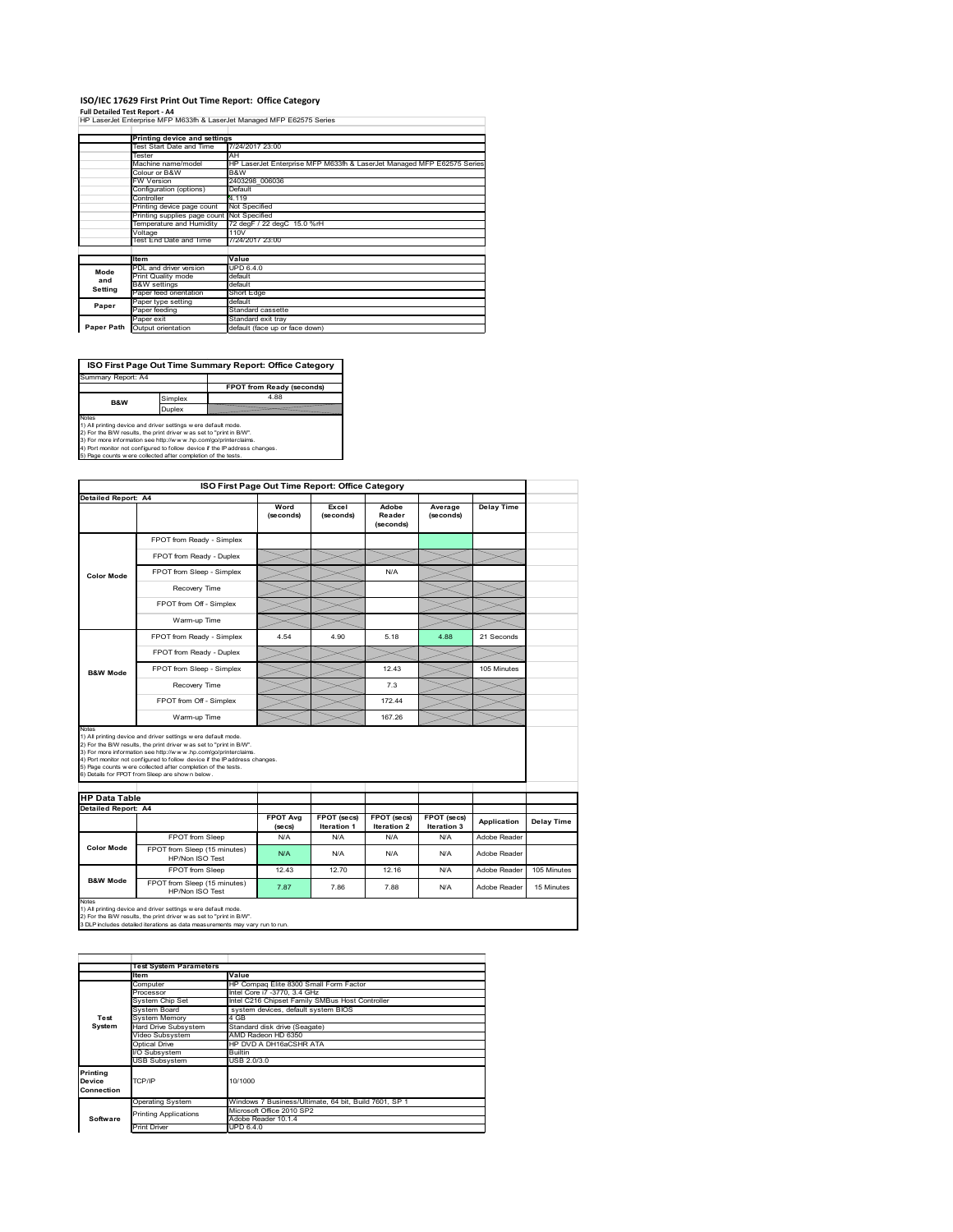# **ISO/IEC 17629 First Print Out Time Report: Office Category**

**Full Detailed Test Report ‐ A4** HP LaserJet Enterprise MFP M633fh & LaserJet Managed MFP E62575 Series

|            | Printing device and settings               |                                                                        |
|------------|--------------------------------------------|------------------------------------------------------------------------|
|            | Test Start Date and Time                   | 7/24/2017 23:00                                                        |
|            | Tester                                     | AH                                                                     |
|            | Machine name/model                         | HP LaserJet Enterprise MFP M633fh & LaserJet Managed MFP E62575 Series |
|            | Colour or B&W                              | B&W                                                                    |
|            | <b>FW Version</b>                          | 2403298 006036                                                         |
|            | Configuration (options)                    | Default                                                                |
|            | Controller                                 | 4.119                                                                  |
|            | Printing device page count                 | Not Specified                                                          |
|            | Printing supplies page count Not Specified |                                                                        |
|            | Temperature and Humidity                   | 72 degF / 22 degC 15.0 %rH                                             |
|            | Voltage                                    | 110V                                                                   |
|            | Test End Date and Time                     | 7/24/2017 23:00                                                        |
|            |                                            |                                                                        |
|            | ltem                                       | Value                                                                  |
| Mode       | PDL and driver version                     | UPD 6.4.0                                                              |
| and        | Print Quality mode                         | default                                                                |
| Setting    | <b>B&amp;W</b> settings                    | default                                                                |
|            | Paper feed orientation                     | Short Edge                                                             |
| Paper      | Paper type setting                         | default                                                                |
|            | Paper feeding                              | Standard cassette                                                      |
|            | Paper exit                                 | Standard exit trav                                                     |
| Paper Path | Output orientation                         | default (face up or face down)                                         |
|            |                                            |                                                                        |



| FPOT from Ready - Simplex<br>FPOT from Ready - Duplex<br>FPOT from Sleep - Simplex<br>Recovery Time<br>FPOT from Off - Simplex<br>Warm-up Time<br>FPOT from Ready - Simplex<br>FPOT from Ready - Duplex<br>FPOT from Sleep - Simplex<br>Recovery Time                                                                         | Word<br>(seconds)<br>4.54  | Excel<br>(seconds)<br>4.90                                                 | Adobe<br>Reader<br>(seconds)<br>N/A<br>5.18                    | Average<br>(seconds)<br>4.88 | <b>Delay Time</b><br>21 Seconds                                     |             |
|-------------------------------------------------------------------------------------------------------------------------------------------------------------------------------------------------------------------------------------------------------------------------------------------------------------------------------|----------------------------|----------------------------------------------------------------------------|----------------------------------------------------------------|------------------------------|---------------------------------------------------------------------|-------------|
|                                                                                                                                                                                                                                                                                                                               |                            |                                                                            |                                                                |                              |                                                                     |             |
|                                                                                                                                                                                                                                                                                                                               |                            |                                                                            |                                                                |                              |                                                                     |             |
|                                                                                                                                                                                                                                                                                                                               |                            |                                                                            |                                                                |                              |                                                                     |             |
|                                                                                                                                                                                                                                                                                                                               |                            |                                                                            |                                                                |                              |                                                                     |             |
|                                                                                                                                                                                                                                                                                                                               |                            |                                                                            |                                                                |                              |                                                                     |             |
|                                                                                                                                                                                                                                                                                                                               |                            |                                                                            |                                                                |                              |                                                                     |             |
|                                                                                                                                                                                                                                                                                                                               |                            |                                                                            |                                                                |                              |                                                                     |             |
|                                                                                                                                                                                                                                                                                                                               |                            |                                                                            |                                                                |                              |                                                                     |             |
|                                                                                                                                                                                                                                                                                                                               |                            |                                                                            |                                                                |                              |                                                                     |             |
|                                                                                                                                                                                                                                                                                                                               |                            |                                                                            |                                                                |                              |                                                                     |             |
|                                                                                                                                                                                                                                                                                                                               |                            |                                                                            | 12.43                                                          |                              | 105 Minutes                                                         |             |
|                                                                                                                                                                                                                                                                                                                               |                            |                                                                            | 7.3                                                            |                              |                                                                     |             |
| FPOT from Off - Simplex                                                                                                                                                                                                                                                                                                       |                            |                                                                            | 172 44                                                         |                              |                                                                     |             |
| Warm-up Time                                                                                                                                                                                                                                                                                                                  |                            |                                                                            | 167.26                                                         |                              |                                                                     |             |
| 1) All printing device and driver settings w ere default mode.<br>2) For the B/W results, the print driver was set to "print in B/W".<br>3) For more information see http://www.hp.com/go/printerclaims.<br>5) Page counts w ere collected after completion of the tests.<br>6) Details for FPOT from Sleep are show n below. |                            |                                                                            |                                                                |                              |                                                                     |             |
|                                                                                                                                                                                                                                                                                                                               |                            |                                                                            |                                                                |                              |                                                                     |             |
|                                                                                                                                                                                                                                                                                                                               | <b>FPOT Avg</b><br>(se cs) | FPOT (secs)<br><b>Iteration 1</b>                                          | FPOT (secs)<br>Iteration 2                                     | FPOT (secs)<br>Iteration 3   | Application                                                         | Delay Time  |
| FPOT from Sleep                                                                                                                                                                                                                                                                                                               | N/A                        | N/A                                                                        | N/A                                                            | N/A                          | Adobe Reader                                                        |             |
| FPOT from Sleep (15 minutes)<br>HP/Non ISO Test                                                                                                                                                                                                                                                                               | N/A                        | N/A                                                                        | N/A                                                            | N/A                          | Adobe Reader                                                        |             |
| <b>FPOT from Sleep</b>                                                                                                                                                                                                                                                                                                        | 12 43                      | 1270                                                                       | 12 16                                                          | N/A                          | Adobe Reader                                                        | 105 Minutes |
| FPOT from Sleep (15 minutes)<br>HP/Non ISO Test                                                                                                                                                                                                                                                                               | 7.87                       | 7.86                                                                       | 7.88                                                           | N/A                          | Adobe Reader                                                        | 15 Minutes  |
|                                                                                                                                                                                                                                                                                                                               |                            | 4) Port monitor not configured to follow device if the IP address changes. | 1) All printing device and driver settings w ere default mode. |                              | 2) For the B/W results, the print driver was set to "print in B/W". |             |

|                 | <b>Test System Parameters</b> |                                                       |  |  |  |
|-----------------|-------------------------------|-------------------------------------------------------|--|--|--|
|                 | <b>Item</b>                   | Value                                                 |  |  |  |
|                 | Computer                      | HP Compaq Elite 8300 Small Form Factor                |  |  |  |
|                 | Processor                     | Intel Core i7 -3770, 3.4 GHz                          |  |  |  |
|                 | System Chip Set               | Intel C216 Chipset Family SMBus Host Controller       |  |  |  |
|                 | System Board                  | system devices, default system BIOS                   |  |  |  |
| Test            | <b>System Memory</b>          | 4 GB                                                  |  |  |  |
| System          | <b>Hard Drive Subsystem</b>   | Standard disk drive (Seagate)                         |  |  |  |
|                 | Video Subsystem               | AMD Radeon HD 6350                                    |  |  |  |
|                 | Optical Drive                 | HP DVD A DH16aCSHR ATA                                |  |  |  |
|                 | I/O Subsystem                 | <b>Builtin</b>                                        |  |  |  |
|                 | <b>USB Subsystem</b>          | USB 2.0/3.0                                           |  |  |  |
| <b>Printing</b> |                               |                                                       |  |  |  |
| Device          | TCP/IP                        | 10/1000                                               |  |  |  |
| Connection      |                               |                                                       |  |  |  |
|                 | <b>Operating System</b>       | Windows 7 Business/Ultimate, 64 bit, Build 7601, SP 1 |  |  |  |
|                 | <b>Printing Applications</b>  | Microsoft Office 2010 SP2                             |  |  |  |
| Software        |                               | Adobe Reader 10.1.4                                   |  |  |  |
|                 | <b>Print Driver</b>           | UPD 6.4.0                                             |  |  |  |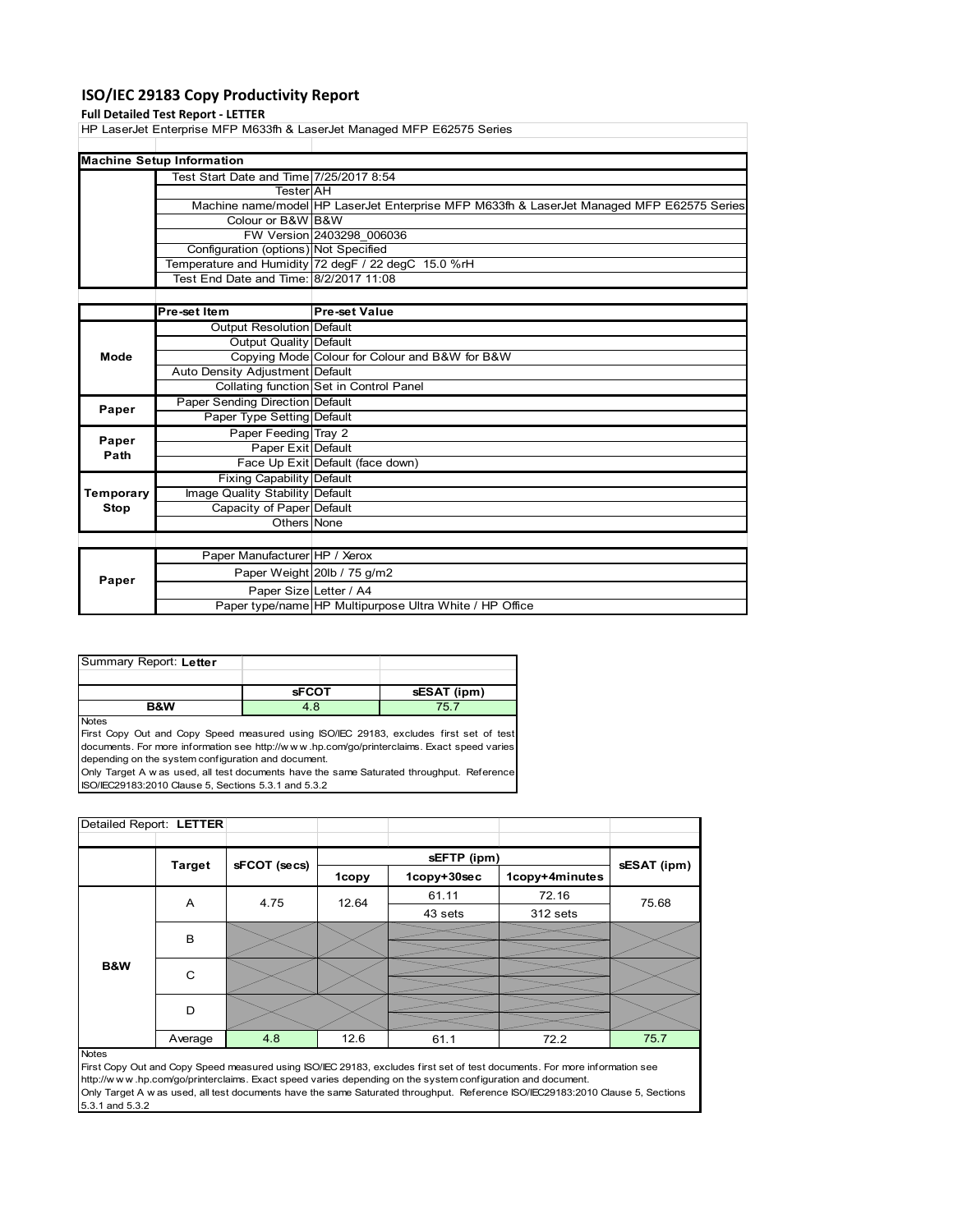# **ISO/IEC 29183 Copy Productivity Report**

## **Full Detailed Test Report ‐ LETTER**

HP LaserJet Enterprise MFP M633fh & LaserJet Managed MFP E62575 Series

| <b>Machine Setup Information</b>        |                                                                                           |
|-----------------------------------------|-------------------------------------------------------------------------------------------|
| Test Start Date and Time 7/25/2017 8:54 |                                                                                           |
| TesterIAH                               |                                                                                           |
|                                         | Machine name/model HP LaserJet Enterprise MFP M633th & LaserJet Managed MFP E62575 Series |
| Colour or B&W B&W                       |                                                                                           |
|                                         | FW Version 2403298 006036                                                                 |
| Configuration (options) Not Specified   |                                                                                           |
|                                         | Temperature and Humidity 72 degF / 22 degC 15.0 %rH                                       |
| Test End Date and Time: 8/2/2017 11:08  |                                                                                           |
|                                         |                                                                                           |

|           | Pre-set Item                     | <b>Pre-set Value</b>                                    |
|-----------|----------------------------------|---------------------------------------------------------|
|           | Output Resolution Default        |                                                         |
|           | Output Quality Default           |                                                         |
| Mode      |                                  | Copying Mode Colour for Colour and B&W for B&W          |
|           | Auto Density Adjustment Default  |                                                         |
|           |                                  | Collating function Set in Control Panel                 |
| Paper     | Paper Sending Direction Default  |                                                         |
|           | Paper Type Setting Default       |                                                         |
| Paper     | Paper Feeding Tray 2             |                                                         |
| Path      | Paper Exit Default               |                                                         |
|           |                                  | Face Up Exit Default (face down)                        |
|           | <b>Fixing Capability Default</b> |                                                         |
| Temporary | Image Quality Stability Default  |                                                         |
| Stop      | Capacity of Paper Default        |                                                         |
|           | Others None                      |                                                         |
|           |                                  |                                                         |
|           | Paper Manufacturer HP / Xerox    |                                                         |
| Paper     |                                  | Paper Weight 20lb / 75 g/m2                             |
|           |                                  | Paper Size Letter / A4                                  |
|           |                                  | Paper type/name HP Multipurpose Ultra White / HP Office |

| Summary Report: Letter |              |             |
|------------------------|--------------|-------------|
|                        |              |             |
|                        | <b>SFCOT</b> | sESAT (ipm) |
| <b>R&amp;W</b>         | 4.8          |             |

Notes

First Copy Out and Copy Speed measured using ISO/IEC 29183, excludes first set of test documents. For more information see http://w w w .hp.com/go/printerclaims. Exact speed varies depending on the system configuration and document. Only Target A w as used, all test documents have the same Saturated throughput. Reference

ISO/IEC29183:2010 Clause 5, Sections 5.3.1 and 5.3.2

|  | Detailed Report: LETTER |               |              |         |             |                |             |
|--|-------------------------|---------------|--------------|---------|-------------|----------------|-------------|
|  |                         |               |              |         |             |                |             |
|  |                         | <b>Target</b> | sFCOT (secs) |         | sEFTP (ipm) |                | sESAT (ipm) |
|  |                         |               |              | 1copy   | 1copy+30sec | 1copy+4minutes |             |
|  |                         | A             | 4.75         | 12.64   | 61.11       | 72.16          | 75.68       |
|  |                         |               |              | 43 sets | 312 sets    |                |             |
|  |                         | B             |              |         |             |                |             |
|  |                         |               |              |         |             |                |             |
|  | B&W                     | C             |              |         |             |                |             |
|  |                         |               |              |         |             |                |             |
|  |                         | D             |              |         |             |                |             |
|  |                         |               |              |         |             |                |             |
|  |                         | Average       | 4.8          | 12.6    | 61.1        | 72.2           | 75.7        |

Notes

First Copy Out and Copy Speed measured using ISO/IEC 29183, excludes first set of test documents. For more information see http://w w w .hp.com/go/printerclaims. Exact speed varies depending on the system configuration and document. Only Target A w as used, all test documents have the same Saturated throughput. Reference ISO/IEC29183:2010 Clause 5, Sections 5.3.1 and 5.3.2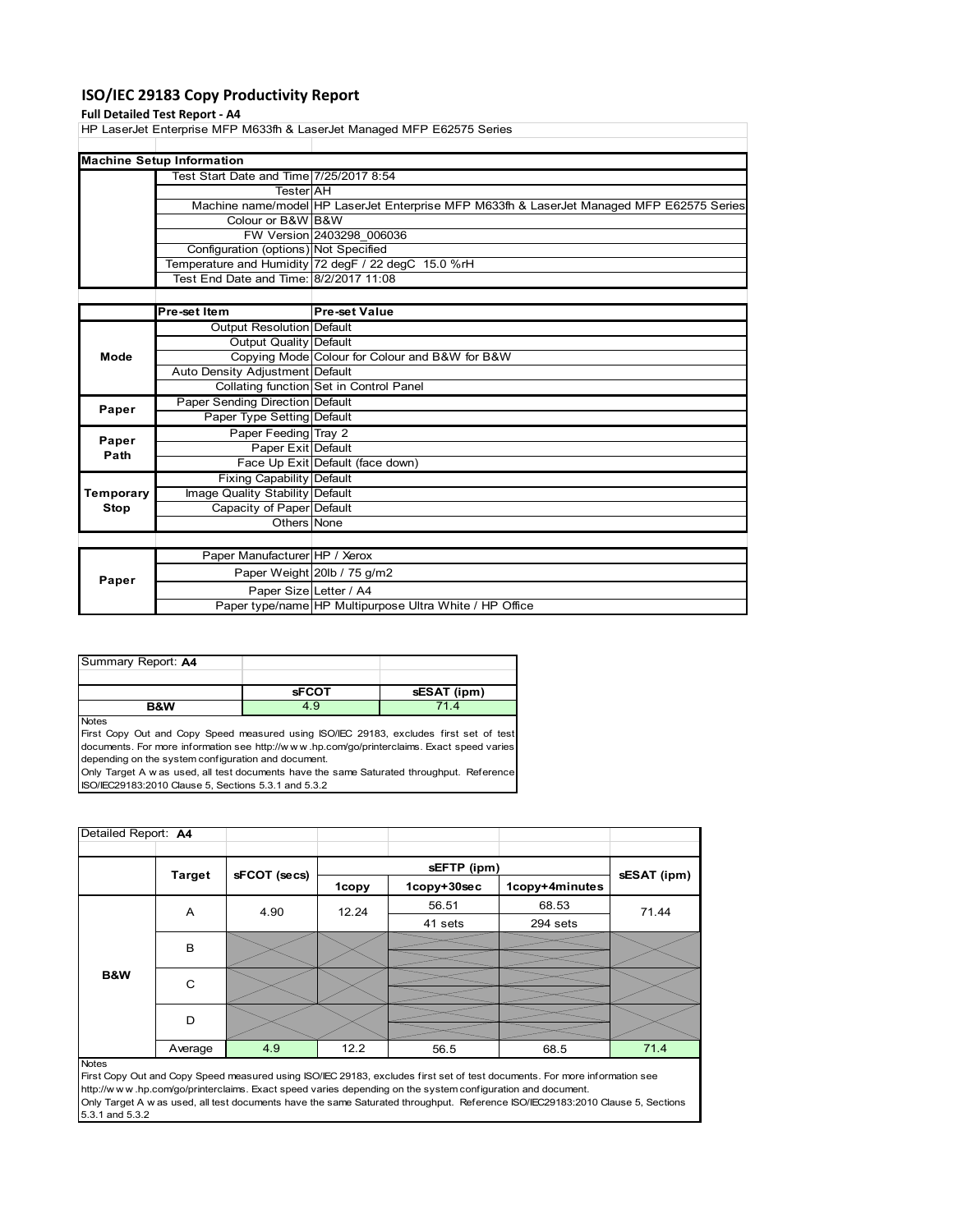# **ISO/IEC 29183 Copy Productivity Report**

## **Full Detailed Test Report ‐ A4**

HP LaserJet Enterprise MFP M633fh & LaserJet Managed MFP E62575 Series

| <b>Machine Setup Information</b>        |                                                                                           |
|-----------------------------------------|-------------------------------------------------------------------------------------------|
| Test Start Date and Time 7/25/2017 8:54 |                                                                                           |
| <b>Tester</b> AH                        |                                                                                           |
|                                         | Machine name/model HP LaserJet Enterprise MFP M633th & LaserJet Managed MFP E62575 Series |
| Colour or B&W B&W                       |                                                                                           |
|                                         | FW Version 2403298 006036                                                                 |
| Configuration (options) Not Specified   |                                                                                           |
|                                         | Temperature and Humidity 72 degF / 22 degC 15.0 %rH                                       |
| Test End Date and Time: 8/2/2017 11:08  |                                                                                           |
|                                         |                                                                                           |

|           | Pre-set Item                           | <b>Pre-set Value</b>                                    |
|-----------|----------------------------------------|---------------------------------------------------------|
|           | Output Resolution Default              |                                                         |
|           | Output Quality Default                 |                                                         |
| Mode      |                                        | Copying Mode Colour for Colour and B&W for B&W          |
|           | Auto Density Adjustment Default        |                                                         |
|           |                                        | Collating function Set in Control Panel                 |
| Paper     | <b>Paper Sending Direction Default</b> |                                                         |
|           | Paper Type Setting Default             |                                                         |
| Paper     | Paper Feeding Tray 2                   |                                                         |
| Path      | Paper Exit Default                     |                                                         |
|           |                                        | Face Up Exit Default (face down)                        |
|           | Fixing Capability Default              |                                                         |
| Temporary | Image Quality Stability Default        |                                                         |
| Stop      | Capacity of Paper Default              |                                                         |
|           | Others None                            |                                                         |
|           |                                        |                                                         |
|           | Paper Manufacturer HP / Xerox          |                                                         |
| Paper     |                                        | Paper Weight 20lb / 75 g/m2                             |
|           | Paper Size Letter / A4                 |                                                         |
|           |                                        | Paper type/name HP Multipurpose Ultra White / HP Office |

| <b>B&amp;W</b>     | 4.9          |             |
|--------------------|--------------|-------------|
|                    | <b>sFCOT</b> | sESAT (ipm) |
|                    |              |             |
| Summary Report: A4 |              |             |

Notes

First Copy Out and Copy Speed measured using ISO/IEC 29183, excludes first set of test documents. For more information see http://w w w .hp.com/go/printerclaims. Exact speed varies depending on the system configuration and document. Only Target A w as used, all test documents have the same Saturated throughput. Reference

ISO/IEC29183:2010 Clause 5, Sections 5.3.1 and 5.3.2

| Detailed Report: A4 |               |              |       |             |                |             |  |
|---------------------|---------------|--------------|-------|-------------|----------------|-------------|--|
|                     |               |              |       | sEFTP (ipm) |                |             |  |
|                     | <b>Target</b> | sFCOT (secs) | 1copy | 1copy+30sec | 1copy+4minutes | sESAT (ipm) |  |
|                     | A             | 4.90         | 12.24 | 56.51       | 68.53          | 71.44       |  |
|                     |               |              |       | 41 sets     | 294 sets       |             |  |
| B&W                 | B             |              |       |             |                |             |  |
|                     |               |              |       |             |                |             |  |
|                     | $\mathsf{C}$  |              |       |             |                |             |  |
|                     | D             |              |       |             |                |             |  |
|                     | Average       | 4.9          | 12.2  | 56.5        | 68.5           | 71.4        |  |
| <b>Notes</b>        |               |              |       |             |                |             |  |

First Copy Out and Copy Speed measured using ISO/IEC 29183, excludes first set of test documents. For more information see http://w w w .hp.com/go/printerclaims. Exact speed varies depending on the system configuration and document. Only Target A w as used, all test documents have the same Saturated throughput. Reference ISO/IEC29183:2010 Clause 5, Sections 5.3.1 and 5.3.2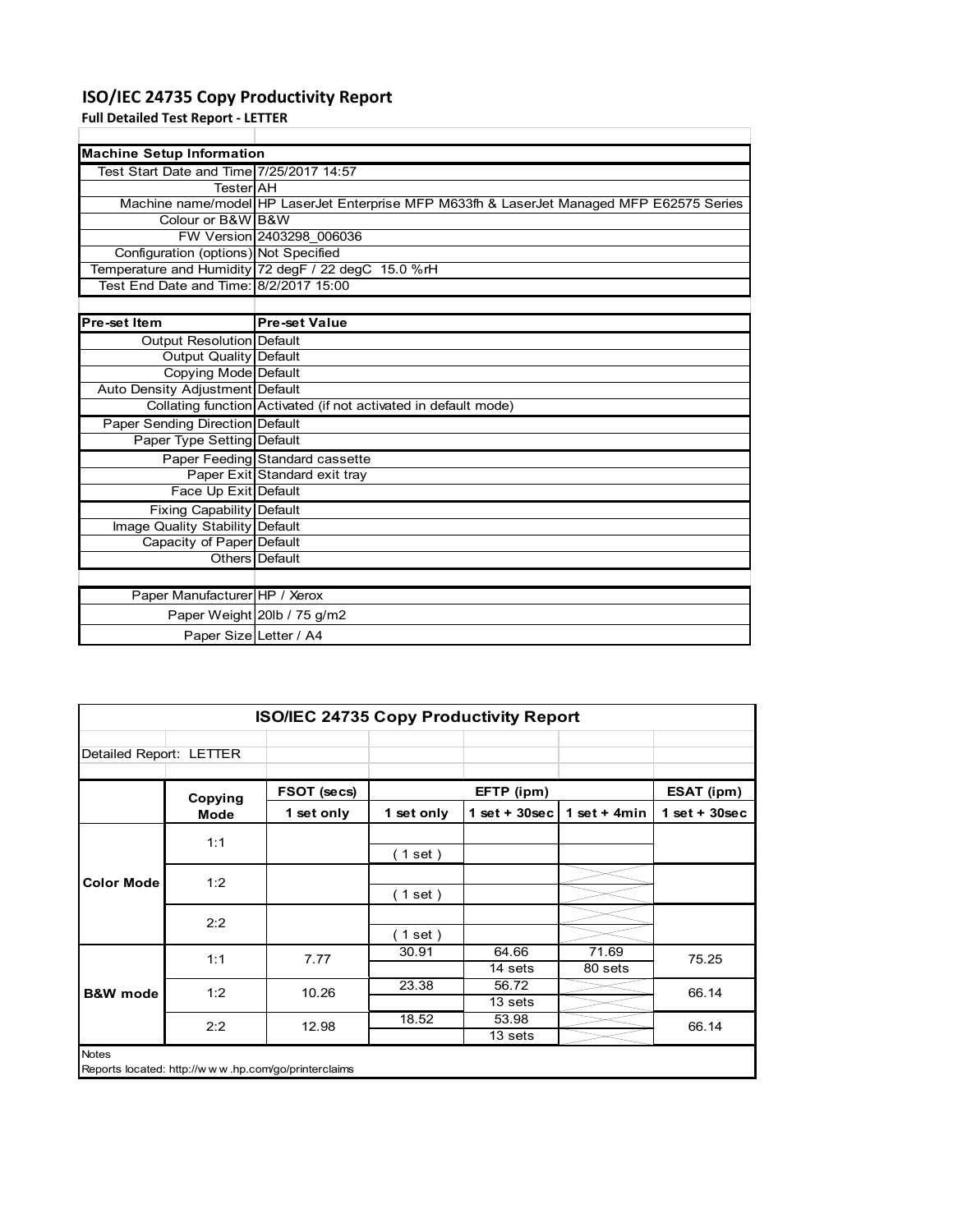# **ISO/IEC 24735 Copy Productivity Report**

Paper Weight 20lb / 75 g/m2 Paper Size Letter / A4

**Full Detailed Test Report ‐ LETTER**

| <b>Machine Setup Information</b>         |                                                                                           |
|------------------------------------------|-------------------------------------------------------------------------------------------|
| Test Start Date and Time 7/25/2017 14:57 |                                                                                           |
| TesterIAH                                |                                                                                           |
|                                          | Machine name/model HP LaserJet Enterprise MFP M633fh & LaserJet Managed MFP E62575 Series |
| Colour or B&W B&W                        |                                                                                           |
|                                          | FW Version 2403298 006036                                                                 |
| Configuration (options) Not Specified    |                                                                                           |
|                                          | Temperature and Humidity 72 degF / 22 degC 15.0 %rH                                       |
| Test End Date and Time: 8/2/2017 15:00   |                                                                                           |
|                                          |                                                                                           |
| <b>Pre-set Item</b>                      | <b>Pre-set Value</b>                                                                      |
| Output Resolution Default                |                                                                                           |
| <b>Output Quality Default</b>            |                                                                                           |
| Copying Mode Default                     |                                                                                           |
| Auto Density Adjustment Default          |                                                                                           |
|                                          | Collating function Activated (if not activated in default mode)                           |
| Paper Sending Direction Default          |                                                                                           |
| Paper Type Setting Default               |                                                                                           |
|                                          | Paper Feeding Standard cassette                                                           |
|                                          | Paper Exit Standard exit tray                                                             |
| Face Up Exit Default                     |                                                                                           |
| <b>Fixing Capability Default</b>         |                                                                                           |
| Image Quality Stability Default          |                                                                                           |
| Capacity of Paper Default                |                                                                                           |
|                                          | Others Default                                                                            |
|                                          |                                                                                           |
| Paper Manufacturer HP / Xerox            |                                                                                           |

| <b>ISO/IEC 24735 Copy Productivity Report</b> |         |             |            |                  |                  |                 |  |  |  |
|-----------------------------------------------|---------|-------------|------------|------------------|------------------|-----------------|--|--|--|
| Detailed Report: LETTER                       |         |             |            |                  |                  |                 |  |  |  |
|                                               | Copying | FSOT (secs) |            | EFTP (ipm)       |                  | ESAT (ipm)      |  |  |  |
|                                               | Mode    | 1 set only  | 1 set only | $1$ set + 30sec  | 1 set + $4min$   | $1$ set + 30sec |  |  |  |
|                                               | 1:1     |             | (1 set)    |                  |                  |                 |  |  |  |
| <b>Color Mode</b>                             | 1:2     |             | (1 set)    |                  |                  |                 |  |  |  |
|                                               | 2:2     |             | (1 set)    |                  |                  |                 |  |  |  |
|                                               | 1:1     | 7.77        | 30.91      | 64.66<br>14 sets | 71.69<br>80 sets | 75.25           |  |  |  |
| <b>B&amp;W</b> mode                           | 1:2     | 10.26       | 23.38      | 56.72<br>13 sets |                  | 66.14           |  |  |  |
|                                               | 2:2     | 12.98       | 18.52      | 53.98<br>13 sets |                  | 66.14           |  |  |  |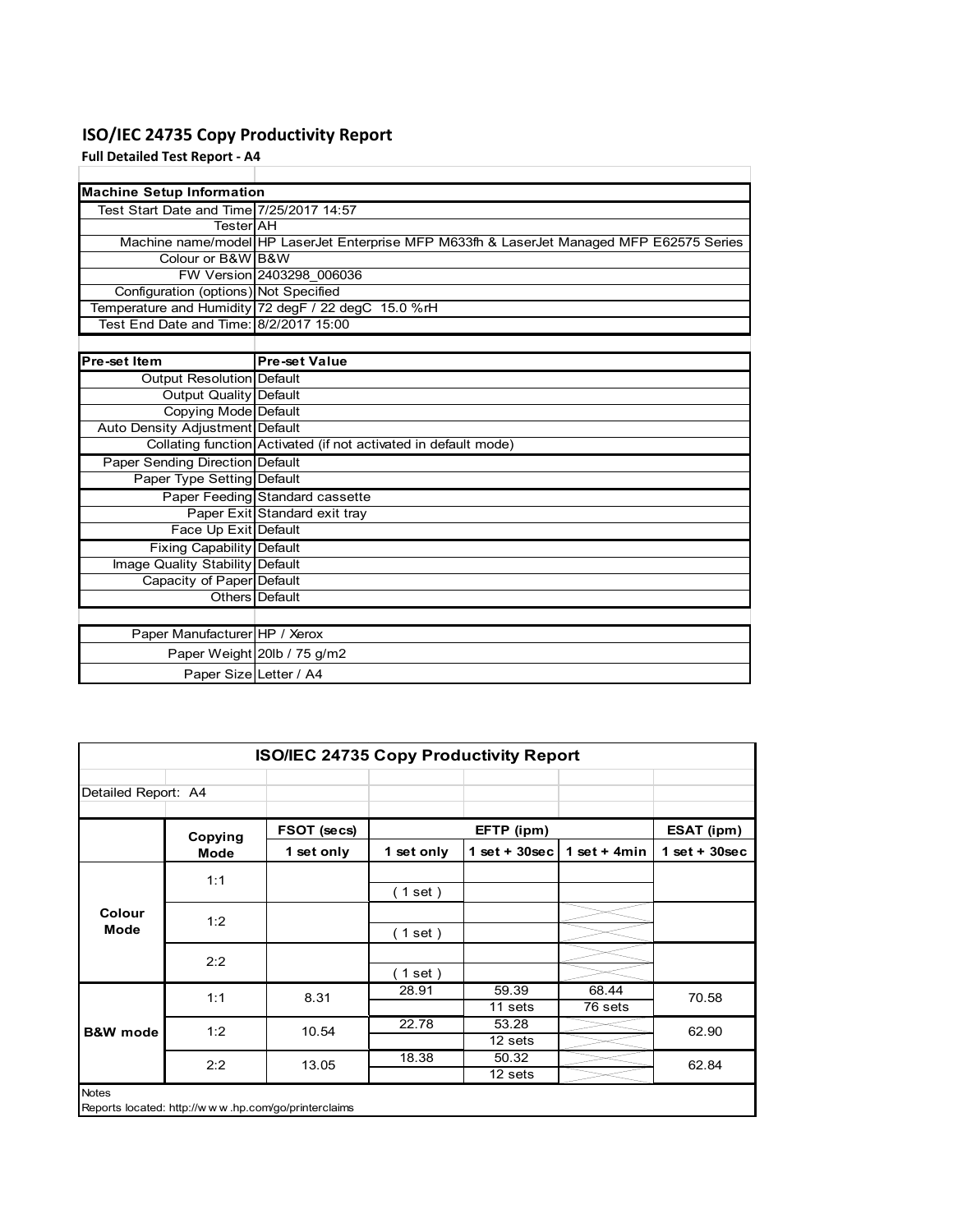# **ISO/IEC 24735 Copy Productivity Report**

**Full Detailed Test Report ‐ A4**

| <b>Machine Setup Information</b>         |                                                                                           |
|------------------------------------------|-------------------------------------------------------------------------------------------|
| Test Start Date and Time 7/25/2017 14:57 |                                                                                           |
| TesterIAH                                |                                                                                           |
|                                          | Machine name/model HP LaserJet Enterprise MFP M633fh & LaserJet Managed MFP E62575 Series |
| Colour or B&W B&W                        |                                                                                           |
|                                          | FW Version 2403298 006036                                                                 |
| Configuration (options) Not Specified    |                                                                                           |
|                                          | Temperature and Humidity 72 degF / 22 degC 15.0 %rH                                       |
| Test End Date and Time: 8/2/2017 15:00   |                                                                                           |
|                                          |                                                                                           |
| <b>Pre-set Item</b>                      | <b>Pre-set Value</b>                                                                      |
| Output Resolution Default                |                                                                                           |
| <b>Output Quality Default</b>            |                                                                                           |
| <b>Copying Mode Default</b>              |                                                                                           |
| Auto Density Adjustment Default          |                                                                                           |
|                                          | Collating function Activated (if not activated in default mode)                           |
| Paper Sending Direction Default          |                                                                                           |
| Paper Type Setting Default               |                                                                                           |
|                                          | Paper Feeding Standard cassette                                                           |
|                                          | Paper Exit Standard exit tray                                                             |
| Face Up Exit Default                     |                                                                                           |
| <b>Fixing Capability Default</b>         |                                                                                           |
| Image Quality Stability Default          |                                                                                           |
| Capacity of Paper Default                |                                                                                           |
|                                          | Others Default                                                                            |
|                                          |                                                                                           |
| Paper Manufacturer HP / Xerox            |                                                                                           |
|                                          | Paper Weight 20lb / 75 g/m2                                                               |
| Paper Size Letter / A4                   |                                                                                           |

| Detailed Report: A4          |             |             |            |                  |                |                 |       |
|------------------------------|-------------|-------------|------------|------------------|----------------|-----------------|-------|
|                              | Copying     | FSOT (secs) |            | EFTP (ipm)       |                | ESAT (ipm)      |       |
|                              | <b>Mode</b> | 1 set only  | 1 set only | 1 set + $30$ sec | 1 set + $4min$ | $1$ set + 30sec |       |
|                              | 1:1         |             |            |                  |                |                 |       |
| <b>Colour</b><br><b>Mode</b> |             |             | (1 set)    |                  |                |                 |       |
|                              | 1:2         |             |            |                  |                |                 |       |
|                              |             |             | (1 set)    |                  |                |                 |       |
|                              | 2:2         |             |            |                  |                |                 |       |
|                              |             |             | $1$ set)   |                  |                |                 |       |
|                              | 1:1         |             | 8.31       | 28.91            | 59.39          | 68.44           | 70.58 |
|                              |             |             |            | 11 sets          | 76 sets        |                 |       |
| <b>B&amp;W</b> mode          | 1:2         | 10.54       | 22.78      | 53.28            |                | 62.90           |       |
|                              |             |             |            | 12 sets          |                |                 |       |
|                              | 2:2         | 13.05       | 18.38      | 50.32            |                | 62.84           |       |
|                              |             |             |            | 12 sets          |                |                 |       |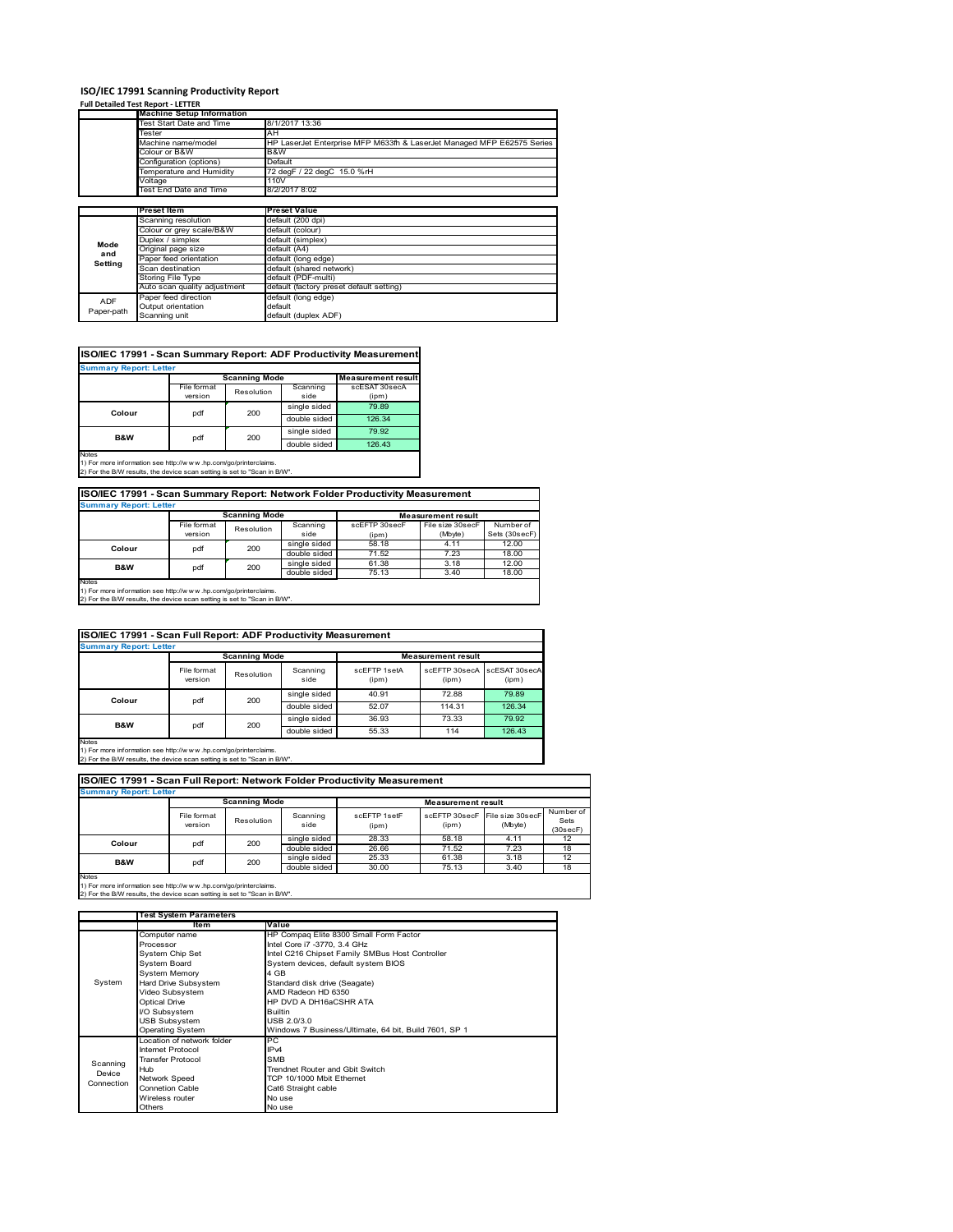# **ISO/IEC 17991 Scanning Productivity Report**

| <b>Full Detailed Test Report - LETTER</b> |         |  |  |  |
|-------------------------------------------|---------|--|--|--|
|                                           | _______ |  |  |  |

|            | <b>Machine Setup Information</b> |                                                                        |
|------------|----------------------------------|------------------------------------------------------------------------|
|            | Test Start Date and Time         | 8/1/2017 13:36                                                         |
|            | Tester                           | AH                                                                     |
|            | Machine name/model               | HP LaserJet Enterprise MFP M633fh & LaserJet Managed MFP E62575 Series |
|            | Colour or B&W                    | B&W                                                                    |
|            | Configuration (options)          | Default                                                                |
|            | Temperature and Humidity         | 72 degF / 22 degC 15.0 %rH                                             |
|            | Voltage                          | 110V                                                                   |
|            | Test End Date and Time           | 8/2/2017 8:02                                                          |
|            |                                  |                                                                        |
|            | <b>Preset Item</b>               | <b>Preset Value</b>                                                    |
|            | Scanning resolution              | default (200 dpi)                                                      |
|            | Colour or grey scale/B&W         | default (colour)                                                       |
| Mode       | Duplex / simplex                 | default (simplex)                                                      |
| and        | Original page size               | default (A4)                                                           |
| Setting    | Paper feed orientation           | default (long edge)                                                    |
|            | Scan destination                 | default (shared network)                                               |
|            | Storing File Type                | default (PDF-multi)                                                    |
|            | Auto scan quality adjustment     | default (factory preset default setting)                               |
| <b>ADF</b> | Paper feed direction             | default (long edge)                                                    |
|            | Output orientation               | default                                                                |
| Paper-path | Scanning unit                    | default (duplex ADF)                                                   |

# **ISO/IEC 17991 - Scan Summary Report: ADF Productivity Measurement**

|                |             | <b>Scanning Mode</b> |              | <b>Measurement result</b> |  |
|----------------|-------------|----------------------|--------------|---------------------------|--|
|                | File format | Resolution           | Scanning     | scESAT 30secA             |  |
|                | version     |                      | side         | (ipm)                     |  |
| Colour         | 200         |                      | single sided | 79.89                     |  |
|                | pdf         |                      | double sided | 126.34                    |  |
|                | pdf         | 200                  | single sided | 79.92                     |  |
| <b>B&amp;W</b> |             |                      | double sided | 126.43                    |  |

1) For more information see http://w w w .hp.com/go/printerclaims. 2) For the B/W results, the device scan setting is set to "Scan in B/W".

# **ISO/IEC 17991 - Scan Summary Report: Network Folder Productivity Measurement**

| <b>Summary Report: Letter</b> |                      |            |              |                           |                  |               |  |  |
|-------------------------------|----------------------|------------|--------------|---------------------------|------------------|---------------|--|--|
|                               | <b>Scanning Mode</b> |            |              | <b>Measurement result</b> |                  |               |  |  |
|                               | File format          | Resolution | Scanning     | scEFTP 30secF             | File size 30secF | Number of     |  |  |
|                               | version              |            | side         | $(i$ pm $)$               | (Mbyte)          | Sets (30secF) |  |  |
|                               | pdf<br>Colour        | 200        | single sided | 58.18                     | 4.11             | 12.00         |  |  |
|                               |                      |            | double sided | 71.52                     | 7.23             | 18.00         |  |  |
| B&W                           | pdf                  | 200        | single sided | 61.38                     | 3.18             | 12.00         |  |  |
|                               |                      |            | double sided | 75.13                     | 3.40             | 18.00         |  |  |
| Notes                         |                      |            |              |                           |                  |               |  |  |

Notes 1) For more information see http://w w w .hp.com/go/printerclaims. 2) For the B/W results, the device scan setting is set to "Scan in B/W".

|                               | ISO/IEC 17991 - Scan Full Report: ADF Productivity Measurement |              |                  |                           |                        |                        |  |  |  |  |  |
|-------------------------------|----------------------------------------------------------------|--------------|------------------|---------------------------|------------------------|------------------------|--|--|--|--|--|
| <b>Summary Report: Letter</b> |                                                                |              |                  |                           |                        |                        |  |  |  |  |  |
|                               | <b>Scanning Mode</b>                                           |              |                  | <b>Measurement result</b> |                        |                        |  |  |  |  |  |
|                               | File format<br>version                                         | Resolution   | Scanning<br>side | scFFTP 1setA<br>(ipm)     | scEFTP 30secA<br>(ipm) | scESAT 30secA<br>(ipm) |  |  |  |  |  |
| Colour                        | 200<br>pdf                                                     |              | single sided     | 40.91                     | 72.88                  | 79.89                  |  |  |  |  |  |
|                               |                                                                | double sided | 52.07            | 114.31                    | 126.34                 |                        |  |  |  |  |  |
| B&W                           |                                                                |              | single sided     | 36.93                     | 73.33                  | 79.92                  |  |  |  |  |  |
|                               |                                                                | 200<br>pdf   | double sided     | 55.33                     | 114                    | 126.43                 |  |  |  |  |  |

Notes 1) For more information see http://w w w .hp.com/go/printerclaims. 2) For the B/W results, the device scan setting is set to "Scan in B/W".

| <b>Summary Report: Letter</b>                                                                                                                               |                        |            |                  |                       |                           |                             |                               |  |  |
|-------------------------------------------------------------------------------------------------------------------------------------------------------------|------------------------|------------|------------------|-----------------------|---------------------------|-----------------------------|-------------------------------|--|--|
|                                                                                                                                                             | <b>Scanning Mode</b>   |            |                  |                       | <b>Measurement result</b> |                             |                               |  |  |
|                                                                                                                                                             | File format<br>version | Resolution | Scanning<br>side | scFFTP 1setF<br>(ipm) | scFFTP 30secF<br>(ipm)    | File size 30secF<br>(Mbyte) | Number of<br>Sets<br>(30secF) |  |  |
|                                                                                                                                                             | 200<br>pdf<br>Colour   |            | single sided     | 28.33                 | 58.18                     | 4.11                        | 12                            |  |  |
|                                                                                                                                                             |                        |            | double sided     | 26.66                 | 71.52                     | 7.23                        | 18                            |  |  |
|                                                                                                                                                             | pdf                    | 200        | single sided     | 25.33                 | 61.38                     | 3.18                        | 12                            |  |  |
| B&W                                                                                                                                                         |                        |            | double sided     | 30.00                 | 75.13                     | 3.40                        | 18                            |  |  |
| <b>Notes</b><br>1) For more information see http://www.hp.com/go/printerclaims.<br>2) For the B/W results, the device scan setting is set to "Scan in B/W". |                        |            |                  |                       |                           |                             |                               |  |  |

|            | <b>Test System Parameters</b> |                                                       |  |  |
|------------|-------------------------------|-------------------------------------------------------|--|--|
|            | ltem                          | Value                                                 |  |  |
|            | Computer name                 | HP Compaq Elite 8300 Small Form Factor                |  |  |
|            | Processor                     | Intel Core i7 -3770, 3.4 GHz                          |  |  |
|            | System Chip Set               | Intel C216 Chipset Family SMBus Host Controller       |  |  |
|            | <b>System Board</b>           | System devices, default system BIOS                   |  |  |
|            | <b>System Memory</b>          | 4 GB                                                  |  |  |
| System     | Hard Drive Subsystem          | Standard disk drive (Seagate)                         |  |  |
|            | Video Subsystem               | AMD Radeon HD 6350                                    |  |  |
|            | <b>Optical Drive</b>          | HP DVD A DH16aCSHR ATA                                |  |  |
|            | I/O Subsystem                 | <b>Builtin</b>                                        |  |  |
|            | <b>USB Subsystem</b>          | USB 2.0/3.0                                           |  |  |
|            | Operating System              | Windows 7 Business/Ultimate, 64 bit, Build 7601, SP 1 |  |  |
|            | Location of network folder    | PC                                                    |  |  |
|            | Internet Protocol             | IP <sub>v4</sub>                                      |  |  |
| Scanning   | <b>Transfer Protocol</b>      | <b>SMB</b>                                            |  |  |
| Device     | Hub                           | <b>Trendnet Router and Gbit Switch</b>                |  |  |
| Connection | Network Speed                 | TCP 10/1000 Mbit Ethernet                             |  |  |
|            | <b>Connetion Cable</b>        | Cat6 Straight cable                                   |  |  |
|            | Wireless router               | No use                                                |  |  |
|            | Others                        | No use                                                |  |  |